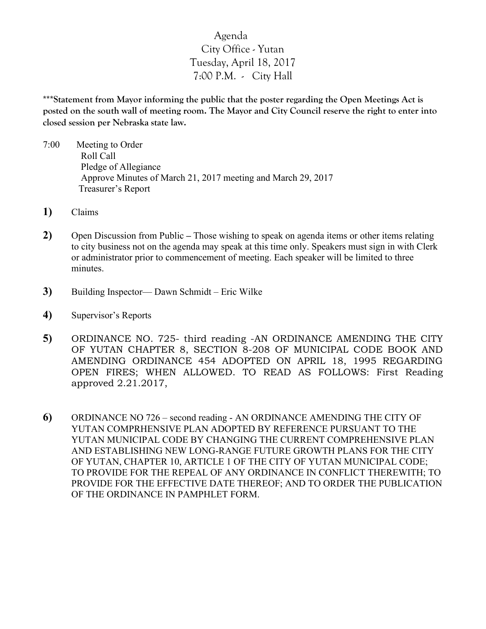## Agenda City Office - Yutan Tuesday, April 18, 2017 7:00 P.M. - City Hall

**\*\*\*Statement from Mayor informing the public that the poster regarding the Open Meetings Act is posted on the south wall of meeting room. The Mayor and City Council reserve the right to enter into closed session per Nebraska state law.**

- 7:00 Meeting to Order Roll Call Pledge of Allegiance Approve Minutes of March 21, 2017 meeting and March 29, 2017 Treasurer's Report
- **1)** Claims
- **2)** Open Discussion from Public **–** Those wishing to speak on agenda items or other items relating to city business not on the agenda may speak at this time only. Speakers must sign in with Clerk or administrator prior to commencement of meeting. Each speaker will be limited to three minutes.
- **3)** Building Inspector— Dawn Schmidt Eric Wilke
- **4)** Supervisor's Reports
- **5)** ORDINANCE NO. 725- third reading -AN ORDINANCE AMENDING THE CITY OF YUTAN CHAPTER 8, SECTION 8-208 OF MUNICIPAL CODE BOOK AND AMENDING ORDINANCE 454 ADOPTED ON APRIL 18, 1995 REGARDING OPEN FIRES; WHEN ALLOWED. TO READ AS FOLLOWS: First Reading approved 2.21.2017,
- **6)** ORDINANCE NO 726 second reading AN ORDINANCE AMENDING THE CITY OF YUTAN COMPRHENSIVE PLAN ADOPTED BY REFERENCE PURSUANT TO THE YUTAN MUNICIPAL CODE BY CHANGING THE CURRENT COMPREHENSIVE PLAN AND ESTABLISHING NEW LONG-RANGE FUTURE GROWTH PLANS FOR THE CITY OF YUTAN, CHAPTER 10, ARTICLE 1 OF THE CITY OF YUTAN MUNICIPAL CODE; TO PROVIDE FOR THE REPEAL OF ANY ORDINANCE IN CONFLICT THEREWITH; TO PROVIDE FOR THE EFFECTIVE DATE THEREOF; AND TO ORDER THE PUBLICATION OF THE ORDINANCE IN PAMPHLET FORM.